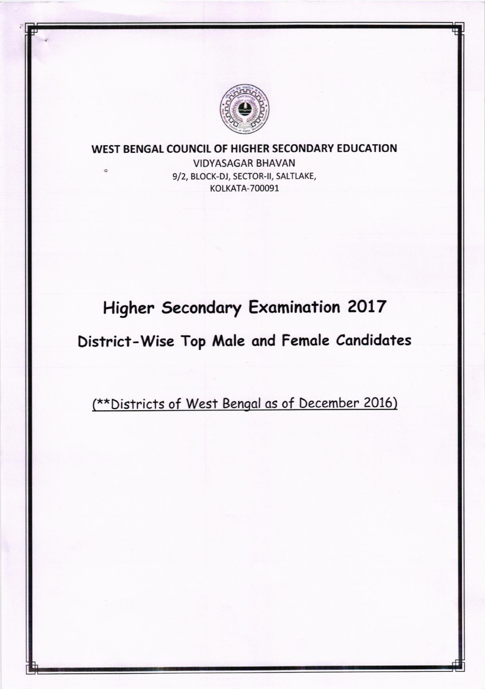

#### WEST BENGAL COUNCIL OF HIGHER SECONDARY EDUCATION

**VIDYASAGAR BHAVAN** 9/2, BLOCK-DJ, SECTOR-II, SALTLAKE, **KOLKATA-700091** 

 $\circ$ 

# **Higher Secondary Examination 2017**

## District-Wise Top Male and Female Candidates

(\*\* Districts of West Bengal as of December 2016)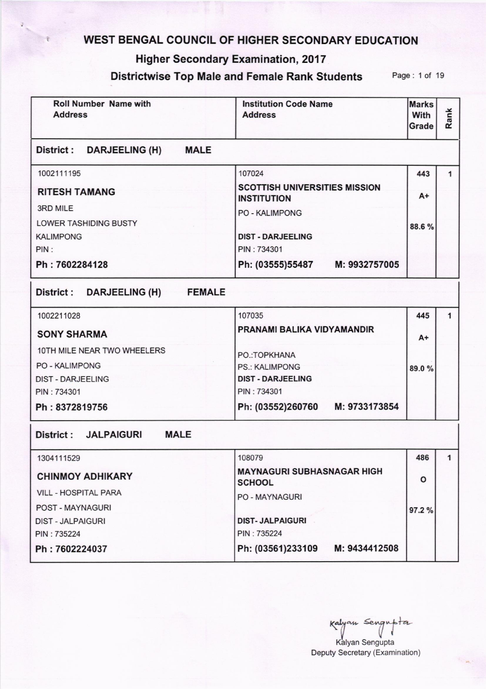### WEST BENGAL COUNCIL OF HIGHER SECONDARY EDUCATION

#### Higher Secondary Examination, 2017

#### Districtwise Top Male and Female Rank Students Page: 1 of 19

| <b>Roll Number Name with</b><br><b>Address</b> | <b>Institution Code Name</b><br><b>Address</b>             | <b>Marks</b><br>With<br>Grade | Rank |  |
|------------------------------------------------|------------------------------------------------------------|-------------------------------|------|--|
| District: DARJEELING (H) MALE                  |                                                            |                               |      |  |
| 1002111195                                     | 107024                                                     | 443                           | 1    |  |
| <b>RITESH TAMANG</b>                           | <b>SCOTTISH UNIVERSITIES MISSION</b><br><b>INSTITUTION</b> | $A+$                          |      |  |
| 3RD MILE                                       | <b>PO - KALIMPONG</b>                                      |                               |      |  |
| <b>LOWER TASHIDING BUSTY</b>                   |                                                            | 88.6%                         |      |  |
| <b>KALIMPONG</b><br>PIN:                       | <b>DIST - DARJEELING</b><br>PIN: 734301                    |                               |      |  |
| Ph: 7602284128                                 | Ph: (03555)55487 M: 9932757005                             |                               |      |  |
| District : DARJEELING (H) FEMALE               |                                                            |                               |      |  |
| 1002211028                                     | 107035                                                     | 445                           | 1    |  |
| <b>SONY SHARMA</b>                             | PRANAMI BALIKA VIDYAMANDIR                                 | $A+$                          |      |  |
| 10TH MILE NEAR TWO WHEELERS                    | PO.: TOPKHANA                                              |                               |      |  |
| <b>PO - KALIMPONG</b>                          | <b>PS.: KALIMPONG</b>                                      | 89.0%                         |      |  |
| <b>DIST - DARJEELING</b>                       | <b>DIST - DARJEELING</b>                                   |                               |      |  |
| PIN: 734301                                    | PIN: 734301                                                |                               |      |  |
| Ph: 8372819756                                 | Ph: (03552)260760 M: 9733173854                            |                               |      |  |
| <b>MALE</b><br>District : JALPAIGURI           |                                                            |                               |      |  |
| 1304111529                                     | 108079                                                     | 486                           | 1    |  |
| <b>CHINMOY ADHIKARY</b>                        | <b>MAYNAGURI SUBHASNAGAR HIGH</b><br><b>SCHOOL</b>         | o                             |      |  |
| <b>VILL - HOSPITAL PARA</b>                    | <b>PO - MAYNAGURI</b>                                      |                               |      |  |
| POST - MAYNAGURI                               |                                                            | 97.2%                         |      |  |
| <b>DIST - JALPAIGURI</b>                       | <b>DIST- JALPAIGURI</b>                                    |                               |      |  |
| PIN: 735224                                    | PIN: 735224                                                |                               |      |  |
| Ph: 7602224037                                 | Ph: (03561)233109<br>M: 9434412508                         |                               |      |  |

sengnpta Kalyan Sengupta Deputy Secretary (Examination)